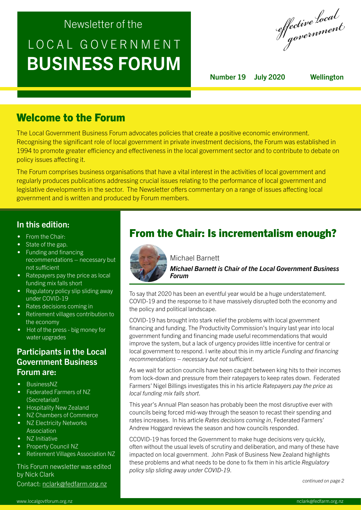# Newsletter of the BUSINESS FORUM LOCAL GOVERNMENT

*effective local government*

Number 19 July 2020 Wellington

## Welcome to the Forum

The Local Government Business Forum advocates policies that create a positive economic environment. Recognising the significant role of local government in private investment decisions, the Forum was established in 1994 to promote greater efficiency and effectiveness in the local government sector and to contribute to debate on policy issues affecting it.

The Forum comprises business organisations that have a vital interest in the activities of local government and regularly produces publications addressing crucial issues relating to the performance of local government and legislative developments in the sector. The Newsletter offers commentary on a range of issues affecting local government and is written and produced by Forum members.

## In this edition:

- From the Chair:
- State of the gap.
- Funding and financing recommendations – necessary but not sufficient
- Ratepayers pay the price as local funding mix falls short
- Regulatory policy slip sliding away under COVID-19
- Rates decisions coming in
- Retirement villages contribution to the economy
- Hot of the press big money for water upgrades

### Participants in the Local Government Business Forum are:

- BusinessNZ
- Federated Farmers of NZ (Secretariat)
- Hospitality New Zealand
- NZ Chambers of Commerce
- NZ Electricity Networks Association
- NZ Initiative
- Property Council NZ
- Retirement Villages Association NZ

This Forum newsletter was edited by Nick Clark

Contact: nclark@fedfarm.org.nz

## From the Chair: Is incrementalism enough?



Michael Barnett

*Michael Barnett is Chair of the Local Government Business Forum*

To say that 2020 has been an eventful year would be a huge understatement. COVID-19 and the response to it have massively disrupted both the economy and the policy and political landscape.

COVID-19 has brought into stark relief the problems with local government financing and funding. The Productivity Commission's Inquiry last year into local government funding and financing made useful recommendations that would improve the system, but a lack of urgency provides little incentive for central or local government to respond. I write about this in my article *Funding and financing recommendations – necessary but not sufficient*.

As we wait for action councils have been caught between king hits to their incomes from lock-down and pressure from their ratepayers to keep rates down. Federated Farmers' Nigel Billings investigates this in his article *Ratepayers pay the price as local funding mix falls short*.

This year's Annual Plan season has probably been the most disruptive ever with councils being forced mid-way through the season to recast their spending and rates increases. In his article *Rates decisions coming in*, Federated Farmers' Andrew Hoggard reviews the season and how councils responded.

CCOVID-19 has forced the Government to make huge decisions very quickly, often without the usual levels of scrutiny and deliberation, and many of these have impacted on local government. John Pask of Business New Zealand highlights these problems and what needs to be done to fix them in his article *Regulatory policy slip sliding away under COVID-19*.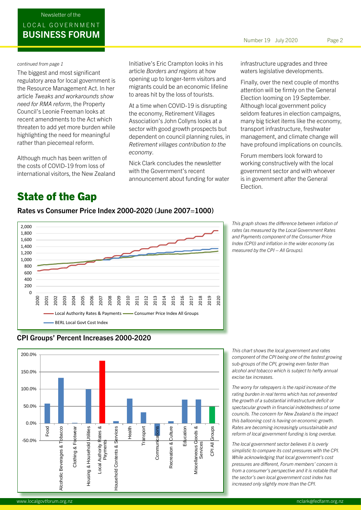### BUSINESS FORUM LOCAL GOVERNMENT

#### *continued from page 1*

The biggest and most significant regulatory area for local government is the Resource Management Act. In her article *Tweaks and workarounds show need for RMA reform*, the Property Council's Leonie Freeman looks at recent amendments to the Act which threaten to add yet more burden while highlighting the need for meaningful rather than piecemeal reform.

Although much has been written of the costs of COVID-19 from loss of international visitors, the New Zealand Initiative's Eric Crampton looks in his article *Borders and regions* at how opening up to longer-term visitors and migrants could be an economic lifeline to areas hit by the loss of tourists.

At a time when COVID-19 is disrupting the economy, Retirement Villages Association's John Collyns looks at a sector with good growth prospects but dependent on council planning rules, in *Retirement villages contribution to the economy*.

Nick Clark concludes the newsletter with the Government's recent announcement about funding for water infrastructure upgrades and three waters legislative developments.

Finally, over the next couple of months attention will be firmly on the General Election looming on 19 September. Although local government policy seldom features in election campaigns, many big ticket items like the economy, transport infrastructure, freshwater management, and climate change will have profound implications on councils.

Forum members look forward to working constructively with the local government sector and with whoever is in government after the General Election.

## State of the Gap

#### **Rates vs Consumer Price Index 2000-20**  Rates vs Consumer Price Index 2000-2020 (June 2007=1000)  $2,000$



*This graph shows the difference between inflation of rates (as measured by the Local Government Rates and Payments component of the Consumer Price Index (CPI)) and inflation in the wider economy (as measured by the CPI – All Groups).* 



### *component of the Consumer Price Index (CPI)) and inflation in the wider economy (as measured by the CPI – All*  CPI Groups' Percent Increases 2000-2020

*This chart shows the local government and rates component of the CPI being one of the fastest growing sub-groups of the CPI, growing even faster than alcohol and tobacco which is subject to hefty annual excise tax increases.*

*The worry for ratepayers is the rapid increase of the rating burden in real terms which has not prevented the growth of a substantial infrastructure deficit or spectacular growth in financial indebtedness of some councils. The concern for New Zealand is the impact this ballooning cost is having on economic growth. Rates are becoming increasingly unsustainable and reform of local government funding is long overdue.*

*The local government sector believes it is overly simplistic to compare its cost pressures with the CPI. While acknowledging that local government's cost pressures are different, Forum members' concern is from a consumer's perspective and it is notable that the sector's own local government cost index has increased only slightly more than the CPI.*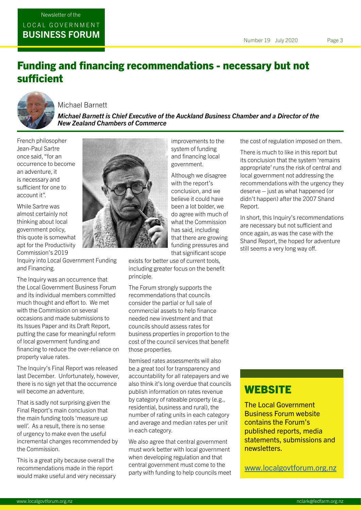## Funding and financing recommendations - necessary but not sufficient



#### Michael Barnett

*Michael Barnett is Chief Executive of the Auckland Business Chamber and a Director of the New Zealand Chambers of Commerce*

French philosopher Jean-Paul Sartre once said, "for an occurrence to become an adventure, it is necessary and sufficient for one to account it".

While Sartre was almost certainly not thinking about local government policy, this quote is somewhat apt for the Productivity Commission's 2019

Inquiry into Local Government Funding and Financing.

The Inquiry was an occurrence that the Local Government Business Forum and its individual members committed much thought and effort to. We met with the Commission on several occasions and made submissions to its Issues Paper and its Draft Report, putting the case for meaningful reform of local government funding and financing to reduce the over-reliance on property value rates.

The Inquiry's Final Report was released last December. Unfortunately, however, there is no sign yet that the occurrence will become an adventure.

That is sadly not surprising given the Final Report's main conclusion that the main funding tools 'measure up well'. As a result, there is no sense of urgency to make even the useful incremental changes recommended by the Commission.

This is a great pity because overall the recommendations made in the report would make useful and very necessary



system of funding and financing local government.

improvements to the

Although we disagree with the report's conclusion, and we believe it could have been a lot bolder, we do agree with much of what the Commission has said, including that there are growing funding pressures and that significant scope

exists for better use of current tools, including greater focus on the benefit principle.

The Forum strongly supports the recommendations that councils consider the partial or full sale of commercial assets to help finance needed new investment and that councils should assess rates for business properties in proportion to the cost of the council services that benefit those properties.

Itemised rates assessments will also be a great tool for transparency and accountability for all ratepayers and we also think it's long overdue that councils publish information on rates revenue by category of rateable property (e.g., residential, business and rural), the number of rating units in each category and average and median rates per unit in each category.

We also agree that central government must work better with local government when developing regulation and that central government must come to the party with funding to help councils meet the cost of regulation imposed on them.

There is much to like in this report but its conclusion that the system 'remains appropriate' runs the risk of central and local government not addressing the recommendations with the urgency they deserve – just as what happened (or didn't happen) after the 2007 Shand Report.

In short, this Inquiry's recommendations are necessary but not sufficient and once again, as was the case with the Shand Report, the hoped for adventure still seems a very long way off.

## **WEBSITE**

The Local Government Business Forum website contains the Forum's published reports, media statements, submissions and newsletters.

www.localgovtforum.org.nz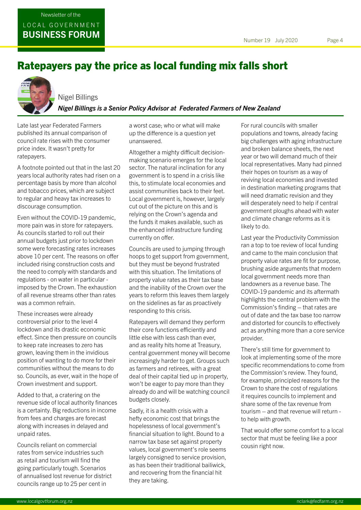## Ratepayers pay the price as local funding mix falls short



Nigel Billings *Nigel Billings is a Senior Policy Advisor at Federated Farmers of New Zealand*

Late last year Federated Farmers published its annual comparison of council rate rises with the consumer price index. It wasn't pretty for ratepayers.

Newsletter of the

BUSINESS FORUM LOCAL GOVERNMENT

A footnote pointed out that in the last 20 years local authority rates had risen on a percentage basis by more than alcohol and tobacco prices, which are subject to regular and heavy tax increases to discourage consumption.

Even without the COVID-19 pandemic, more pain was in store for ratepayers. As councils started to roll out their annual budgets just prior to lockdown some were forecasting rates increases above 10 per cent. The reasons on offer included rising construction costs and the need to comply with standards and regulations - on water in particular imposed by the Crown. The exhaustion of all revenue streams other than rates was a common refrain.

These increases were already controversial prior to the level 4 lockdown and its drastic economic effect. Since then pressure on councils to keep rate increases to zero has grown, leaving them in the invidious position of wanting to do more for their communities without the means to do so. Councils, as ever, wait in the hope of Crown investment and support.

Added to that, a cratering on the revenue side of local authority finances is a certainty. Big reductions in income from fees and charges are forecast along with increases in delayed and unpaid rates.

Councils reliant on commercial rates from service industries such as retail and tourism will find the going particularly tough. Scenarios of annualised lost revenue for district councils range up to 25 per cent in

a worst case; who or what will make up the difference is a question yet unanswered.

Altogether a mighty difficult decisionmaking scenario emerges for the local sector. The natural inclination for any government is to spend in a crisis like this, to stimulate local economies and assist communities back to their feet. Local government is, however, largely cut out of the picture on this and is relying on the Crown's agenda and the funds it makes available, such as the enhanced infrastructure funding currently on offer.

Councils are used to jumping through hoops to get support from government, but they must be beyond frustrated with this situation. The limitations of property value rates as their tax base and the inability of the Crown over the years to reform this leaves them largely on the sidelines as far as proactively responding to this crisis.

Ratepayers will demand they perform their core functions efficiently and little else with less cash than ever, and as reality hits home at Treasury, central government money will become increasingly harder to get. Groups such as farmers and retirees, with a great deal of their capital tied up in property, won't be eager to pay more than they already do and will be watching council budgets closely.

Sadly, it is a health crisis with a hefty economic cost that brings the hopelessness of local government's financial situation to light. Bound to a narrow tax base set against property values, local government's role seems largely consigned to service provision, as has been their traditional bailiwick, and recovering from the financial hit they are taking.

For rural councils with smaller populations and towns, already facing big challenges with aging infrastructure and broken balance sheets, the next year or two will demand much of their local representatives. Many had pinned their hopes on tourism as a way of reviving local economies and invested in destination marketing programs that will need dramatic revision and they will desperately need to help if central government ploughs ahead with water and climate change reforms as it is likely to do.

Last year the Productivity Commission ran a top to toe review of local funding and came to the main conclusion that property value rates are fit for purpose, brushing aside arguments that modern local government needs more than landowners as a revenue base. The COVID-19 pandemic and its aftermath highlights the central problem with the Commission's finding – that rates are out of date and the tax base too narrow and distorted for councils to effectively act as anything more than a core service provider.

There's still time for government to look at implementing some of the more specific recommendations to come from the Commission's review. They found, for example, principled reasons for the Crown to share the cost of regulations it requires councils to implement and share some of the tax revenue from tourism – and that revenue will return to help with growth.

That would offer some comfort to a local sector that must be feeling like a poor cousin right now.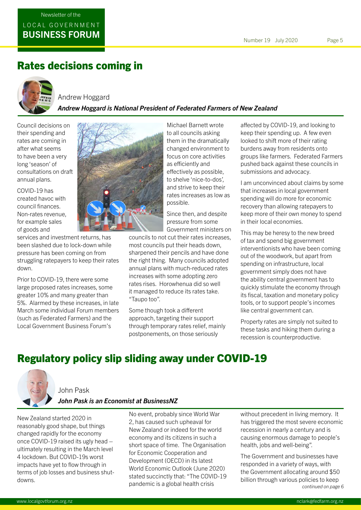## Rates decisions coming in



Andrew Hoggard *Andrew Hoggard is National President of Federated Farmers of New Zealand*

Council decisions on their spending and rates are coming in after what seems to have been a very long 'season' of consultations on draft annual plans.

COVID-19 has created havoc with council finances. Non-rates revenue, for example sales of goods and

services and investment returns, has been slashed due to lock-down while pressure has been coming on from struggling ratepayers to keep their rates down.

Prior to COVID-19, there were some large proposed rates increases, some greater 10% and many greater than 5%. Alarmed by these increases, in late March some individual Forum members (such as Federated Farmers) and the Local Government Business Forum's



Michael Barnett wrote to all councils asking them in the dramatically changed environment to focus on core activities as efficiently and effectively as possible, to shelve 'nice-to-dos', and strive to keep their rates increases as low as possible.

Since then, and despite pressure from some Government ministers on

councils to not cut their rates increases, most councils put their heads down, sharpened their pencils and have done the right thing. Many councils adopted annual plans with much-reduced rates increases with some adopting zero rates rises. Horowhenua did so well it managed to reduce its rates take. "Taupo too".

Some though took a different approach, targeting their support through temporary rates relief, mainly postponements, on those seriously

affected by COVID-19, and looking to keep their spending up. A few even looked to shift more of their rating burdens away from residents onto groups like farmers. Federated Farmers pushed back against these councils in submissions and advocacy.

I am unconvinced about claims by some that increases in local government spending will do more for economic recovery than allowing ratepayers to keep more of their own money to spend in their local economies.

This may be heresy to the new breed of tax and spend big government interventionists who have been coming out of the woodwork, but apart from spending on infrastructure, local government simply does not have the ability central government has to quickly stimulate the economy through its fiscal, taxation and monetary policy tools, or to support people's incomes like central government can.

Property rates are simply not suited to these tasks and hiking them during a recession is counterproductive.

## Regulatory policy slip sliding away under COVID-19



### John Pask *John Pask is an Economist at BusinessNZ*

New Zealand started 2020 in reasonably good shape, but things changed rapidly for the economy once COVID-19 raised its ugly head – ultimately resulting in the March level 4 lockdown. But COVID-19s worst impacts have yet to flow through in terms of job losses and business shutdowns.

No event, probably since World War 2, has caused such upheaval for New Zealand or indeed for the world economy and its citizens in such a short space of time. The Organisation for Economic Cooperation and Development (OECD) in its latest World Economic Outlook (June 2020) stated succinctly that: "The COVID-19 pandemic is a global health crisis

without precedent in living memory. It has triggered the most severe economic recession in nearly a century and is causing enormous damage to people's health, jobs and well-being".

The Government and businesses have responded in a variety of ways, with the Government allocating around \$50 billion through various policies to keep *continued on page 6*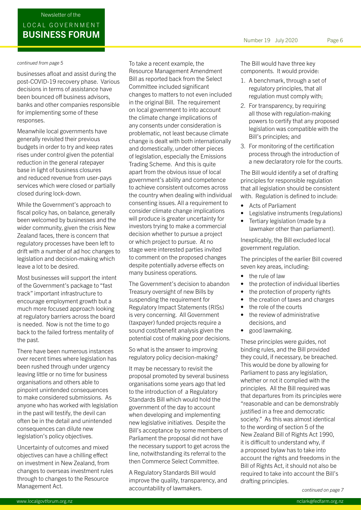#### Number 19 July 2020 Page 6

## Newsletter of the BUSINESS FORUM LOCAL GOVERNMENT

#### *continued from page 5*

businesses afloat and assist during the post-COVID-19 recovery phase. Various decisions in terms of assistance have been bounced off business advisors, banks and other companies responsible for implementing some of these responses.

Meanwhile local governments have generally revisited their previous budgets in order to try and keep rates rises under control given the potential reduction in the general ratepayer base in light of business closures and reduced revenue from user-pays services which were closed or partially closed during lock-down.

While the Government's approach to fiscal policy has, on balance, generally been welcomed by businesses and the wider community, given the crisis New Zealand faces, there is concern that regulatory processes have been left to drift with a number of ad hoc changes to legislation and decision-making which leave a lot to be desired.

Most businesses will support the intent of the Government's package to "fast track" important infrastructure to encourage employment growth but a much more focused approach looking at regulatory barriers across the board is needed. Now is not the time to go back to the failed fortress mentality of the past.

There have been numerous instances over recent times where legislation has been rushed through under urgency leaving little or no time for business organisations and others able to pinpoint unintended consequences to make considered submissions. As anyone who has worked with legislation in the past will testify, the devil can often be in the detail and unintended consequences can dilute new legislation's policy objectives.

Uncertainty of outcomes and mixed objectives can have a chilling effect on investment in New Zealand, from changes to overseas investment rules through to changes to the Resource Management Act.

To take a recent example, the Resource Management Amendment Bill as reported back from the Select Committee included significant changes to matters to not even included in the original Bill. The requirement on local government to into account the climate change implications of any consents under consideration is problematic, not least because climate change is dealt with both internationally and domestically, under other pieces of legislation, especially the Emissions Trading Scheme. And this is quite apart from the obvious issue of local government's ability and competence to achieve consistent outcomes across the country when dealing with individual consenting issues. All a requirement to consider climate change implications will produce is greater uncertainty for investors trying to make a commercial decision whether to pursue a project or which project to pursue. At no stage were interested parties invited to comment on the proposed changes despite potentially adverse effects on many business operations.

The Government's decision to abandon Treasury oversight of new Bills by suspending the requirement for Regulatory Impact Statements (RISs) is very concerning. All Government (taxpayer) funded projects require a sound cost/benefit analysis given the potential cost of making poor decisions.

So what is the answer to improving regulatory policy decision-making?

It may be necessary to revisit the proposal promoted by several business organisations some years ago that led to the introduction of a Regulatory Standards Bill which would hold the government of the day to account when developing and implementing new legislative initiatives. Despite the Bill's acceptance by some members of Parliament the proposal did not have the necessary support to get across the line, notwithstanding its referral to the then Commerce Select Committee.

A Regulatory Standards Bill would improve the quality, transparency, and accountability of lawmakers.

The Bill would have three key components. It would provide:

- 1. A benchmark, through a set of regulatory principles, that all regulation must comply with;
- 2. For transparency, by requiring all those with regulation-making powers to certify that any proposed legislation was compatible with the Bill's principles; and
- 3. For monitoring of the certification process through the introduction of a new declaratory role for the courts.

The Bill would identify a set of drafting principles for responsible regulation that all legislation should be consistent with. Regulation is defined to include:

- Acts of Parliament
- Legislative instruments (regulations)
- Tertiary legislation (made by a lawmaker other than parliament).

Inexplicably, the Bill excluded local government regulation.

The principles of the earlier Bill covered seven key areas, including:

- the rule of law
- the protection of individual liberties
- the protection of property rights
- the creation of taxes and charges
- the role of the courts
- the review of administrative decisions, and
- good lawmaking.

These principles were guides, not binding rules, and the Bill provided they could, if necessary, be breached. This would be done by allowing for Parliament to pass any legislation, whether or not it complied with the principles. All the Bill required was that departures from its principles were "reasonable and can be demonstrably justified in a free and democratic society." As this was almost identical to the wording of section 5 of the New Zealand Bill of Rights Act 1990, it is difficult to understand why, if a proposed bylaw has to take into account the rights and freedoms in the Bill of Rights Act, it should not also be required to take into account the Bill's drafting principles.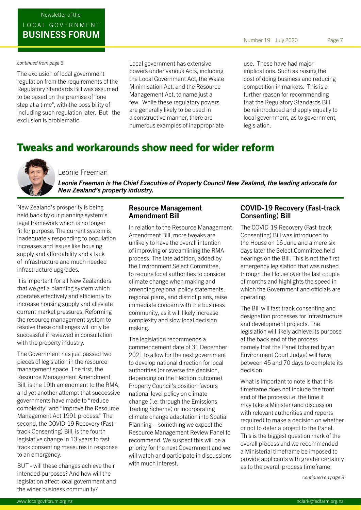### BUSINESS FORUM LOCAL GOVERNMENT

#### *continued from page 6*

The exclusion of local government regulation from the requirements of the Regulatory Standards Bill was assumed to be based on the premise of "one step at a time", with the possibility of including such regulation later. But the exclusion is problematic.

Local government has extensive powers under various Acts, including the Local Government Act, the Waste Minimisation Act, and the Resource Management Act, to name just a few. While these regulatory powers are generally likely to be used in a constructive manner, there are numerous examples of inappropriate

use. These have had major implications. Such as raising the cost of doing business and reducing competition in markets. This is a further reason for recommending that the Regulatory Standards Bill be reintroduced and apply equally to local government, as to government, legislation.

## Tweaks and workarounds show need for wider reform



Leonie Freeman

*Leonie Freeman is the Chief Executive of Property Council New Zealand, the leading advocate for New Zealand's property industry.*

New Zealand's prosperity is being held back by our planning system's legal framework which is no longer fit for purpose. The current system is inadequately responding to population increases and issues like housing supply and affordability and a lack of infrastructure and much needed infrastructure upgrades.

It is important for all New Zealanders that we get a planning system which operates effectively and efficiently to increase housing supply and alleviate current market pressures. Reforming the resource management system to resolve these challenges will only be successful if reviewed in consultation with the property industry.

The Government has just passed two pieces of legislation in the resource management space. The first, the Resource Management Amendment Bill, is the 19th amendment to the RMA, and yet another attempt that successive governments have made to "reduce complexity" and "improve the Resource Management Act 1991 process." The second, the COVID-19 Recovery (Fasttrack Consenting) Bill, is the fourth legislative change in 13 years to fast track consenting measures in response to an emergency.

BUT - will these changes achieve their intended purposes? And how will the legislation affect local government and the wider business community?

### Resource Management Amendment Bill

In relation to the Resource Management Amendment Bill, more tweaks are unlikely to have the overall intention of improving or streamlining the RMA process. The late addition, added by the Environment Select Committee, to require local authorities to consider climate change when making and amending regional policy statements, regional plans, and district plans, raise immediate concern with the business community, as it will likely increase complexity and slow local decision making.

The legislation recommends a commencement date of 31 December 2021 to allow for the next government to develop national direction for local authorities (or reverse the decision, depending on the Election outcome). Property Council's position favours national level policy on climate change (i.e. through the Emissions Trading Scheme) or incorporating climate change adaptation into Spatial Planning – something we expect the Resource Management Review Panel to recommend. We suspect this will be a priority for the next Government and we will watch and participate in discussions with much interest.

### COVID-19 Recovery (Fast-track Consenting) Bill

The COVID-19 Recovery (Fast-track Consenting) Bill was introduced to the House on 16 June and a mere six days later the Select Committee held hearings on the Bill. This is not the first emergency legislation that was rushed through the House over the last couple of months and highlights the speed in which the Government and officials are operating.

The Bill will fast track consenting and designation processes for infrastructure and development projects. The legislation will likely achieve its purpose at the back end of the process – namely that the Panel (chaired by an Environment Court Judge) will have between 45 and 70 days to complete its decision.

What is important to note is that this timeframe does not include the front end of the process i.e. the time it may take a Minister (and discussion with relevant authorities and reports required) to make a decision on whether or not to defer a project to the Panel. This is the biggest question mark of the overall process and we recommended a Ministerial timeframe be imposed to provide applicants with greater certainty as to the overall process timeframe.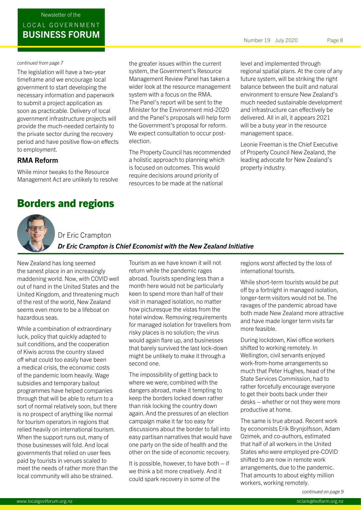### BUSINESS FORUM LOCAL GOVERNMENT

#### *continued from page 7*

The legislation will have a two-year timeframe and we encourage local government to start developing the necessary information and paperwork to submit a project application as soon as practicable. Delivery of local government infrastructure projects will provide the much-needed certainty to the private sector during the recovery period and have positive flow-on effects to employment.

#### RMA Reform

While minor tweaks to the Resource Management Act are unlikely to resolve

## Borders and regions

Dr Eric Crampton *Dr Eric Crampton is Chief Economist with the New Zealand Initiative*

election.

the greater issues within the current system, the Government's Resource Management Review Panel has taken a wider look at the resource management

system with a focus on the RMA. The Panel's report will be sent to the Minister for the Environment mid-2020 and the Panel's proposals will help form the Government's proposal for reform. We expect consultation to occur post-

The Property Council has recommended a holistic approach to planning which is focused on outcomes. This would require decisions around priority of resources to be made at the national

New Zealand has long seemed the sanest place in an increasingly maddening world. Now, with COVID well out of hand in the United States and the United Kingdom, and threatening much of the rest of the world, New Zealand seems even more to be a lifeboat on hazardous seas.

While a combination of extraordinary luck, policy that quickly adapted to suit conditions, and the cooperation of Kiwis across the country staved off what could too easily have been a medical crisis, the economic costs of the pandemic loom heavily. Wage subsidies and temporary bailout programmes have helped companies through that will be able to return to a sort of normal relatively soon, but there is no prospect of anything like normal for tourism operators in regions that relied heavily on international tourism. When the support runs out, many of those businesses will fold. And local governments that relied on user fees paid by tourists in venues scaled to meet the needs of rather more than the local community will also be strained.

Tourism as we have known it will not return while the pandemic rages abroad. Tourists spending less than a month here would not be particularly keen to spend more than half of their visit in managed isolation, no matter how picturesque the vistas from the hotel window. Removing requirements for managed isolation for travellers from risky places is no solution; the virus would again flare up, and businesses that barely survived the last lock-down might be unlikely to make it through a second one.

The impossibility of getting back to where we were, combined with the dangers abroad, make it tempting to keep the borders locked down rather than risk locking the country down again. And the pressures of an election campaign make it far too easy for discussions about the border to fall into easy partisan narratives that would have one party on the side of health and the other on the side of economic recovery.

It is possible, however, to have both  $-$  if we think a bit more creatively. And it could spark recovery in some of the

level and implemented through regional spatial plans. At the core of any future system, will be striking the right balance between the built and natural environment to ensure New Zealand's much needed sustainable development and infrastructure can effectively be delivered. All in all, it appears 2021 will be a busy year in the resource management space.

Leonie Freeman is the Chief Executive of Property Council New Zealand, the leading advocate for New Zealand's property industry.

regions worst affected by the loss of international tourists.

While short-term tourists would be put off by a fortnight in managed isolation, longer-term visitors would not be. The ravages of the pandemic abroad have both made New Zealand more attractive and have made longer term visits far more feasible.

During lockdown, Kiwi office workers shifted to working remotely. In Wellington, civil servants enjoyed work-from-home arrangements so much that Peter Hughes, head of the State Services Commission, had to rather forcefully encourage everyone to get their boots back under their desks – whether or not they were more productive at home.

The same is true abroad. Recent work by economists Erik Brynjolfsson, Adam Ozimek, and co-authors, estimated that half of all workers in the United States who were employed pre-COVID shifted to are now in remote work arrangements, due to the pandemic. That amounts to about eighty million workers, working remotely.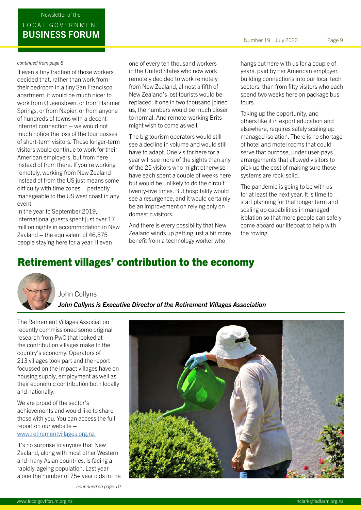### BUSINESS FORUM LOCAL GOVERNMENT

#### *continued from page 8*

If even a tiny fraction of those workers decided that, rather than work from their bedroom in a tiny San Francisco apartment, it would be much nicer to work from Queenstown, or from Hanmer Springs, or from Napier, or from anyone of hundreds of towns with a decent internet connection – we would not much notice the loss of the tour busses of short-term visitors. Those longer-term visitors would continue to work for their American employers, but from here instead of from there. If you're working remotely, working from New Zealand instead of from the US just means some difficulty with time zones – perfectly manageable to the US west coast in any event.

In the year to September 2019, international guests spent just over 17 million nights in accommodation in New Zealand – the equivalent of 46,575 people staying here for a year. If even

one of every ten thousand workers in the United States who now work remotely decided to work remotely from New Zealand, almost a fifth of New Zealand's lost tourists would be replaced. If one in two thousand joined us, the numbers would be much closer to normal. And remote-working Brits might wish to come as well.

The big tourism operators would still see a decline in volume and would still have to adapt. One visitor here for a year will see more of the sights than any of the 25 visitors who might otherwise have each spent a couple of weeks here but would be unlikely to do the circuit twenty-five times. But hospitality would see a resurgence, and it would certainly be an improvement on relying only on domestic visitors.

And there is every possibility that New Zealand winds up getting just a bit more benefit from a technology worker who

hangs out here with us for a couple of years, paid by her American employer, building connections into our local tech sectors, than from fifty visitors who each spend two weeks here on package bus tours.

Taking up the opportunity, and others like it in export education and elsewhere, requires safely scaling up managed isolation. There is no shortage of hotel and motel rooms that could serve that purpose, under user-pays arrangements that allowed visitors to pick up the cost of making sure those systems are rock-solid.

The pandemic is going to be with us for at least the next year. It is time to start planning for that longer term and scaling up capabilities in managed isolation so that more people can safely come aboard our lifeboat to help with the rowing.

## Retirement villages' contribution to the economy



John Collyns *John Collyns is Executive Director of the Retirement Villages Association*

The Retirement Villages Association recently commissioned some original research from PwC that looked at the contribution villages make to the country's economy. Operators of 213 villages took part and the report focussed on the impact villages have on housing supply, employment as well as their economic contribution both locally and nationally.

We are proud of the sector's achievements and would like to share those with you. You can access the full report on our website – www.retirementvillages.org.nz

It's no surprise to anyone that New Zealand, along with most other Western and many Asian countries, is facing a rapidly-ageing population. Last year alone the number of 75+ year olds in the

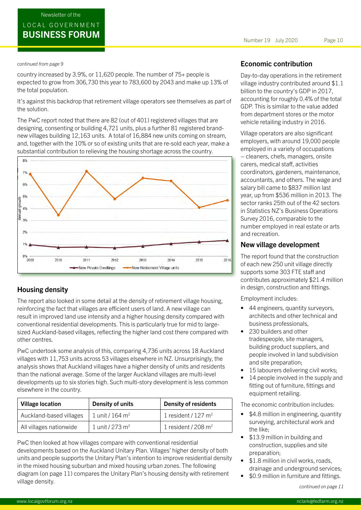#### Newsletter of the well as the interval as the interval as the interval as the interval and nationally and nationally and nationally.

### **BUSINESS FORUM REPORT ON OUR WEBSITE – WWW.REPORT ON OUR WEBSITE – WWW.RETIREMENTS** LOCAL GOVERNMENT NAME SECTOR'S ACHIEVEMENT

#### Number 19 July 2020 Page 10

#### *continued from page 9*

country increased by 3.9%, or 11,620 people. The number of 75+ people is **shipply** Day-to-da expected to grow from 306,730 this year to 783,600 by 2043 and make up 13% of village industry contribu the total population.

It's no surprise to any one that New Zealand, along with most other Western and many Asian most other Western a<br>The New Zealand, along with most other Western and many Asian many Asian many Asian many Asian many Asian many

It's against this backdrop that retirement village operators see themselves as part of accounting for roughly ( the solution. consenting or building 4,721 registered by the state of the value added GDP. This is similar to the value added the solution.

from department stores<br>The PwC report noted that there are 82 (out of 401) registered villages that are webicle retailing industr designing, consenting or building 4,721 units, plus a further 81 registered brandnew villages building 12,163 units. A total of 16,884 new units coming on stream, and the retail of an in ret and, together with the 10% or so of existing units that are re-sold each year, make a  $\frac{1}{2}$  employed in a v substantial contribution to relieving the housing shortage across the country.<br>. The PWC report noted that there are  $\sigma$  (out of 401) registered villages that are  $\rho$  we hicle retailing industrial contribution to relief of the standard contribution to relief of the standard contribution of the stand



## Housing density **Housing density**

The report also looked in some detail at the density of retirement village housing, reinforcing the fact that villages are efficient users of land. A new village can result in improved land use intensity and a higher housing density compared with conventional residential developments. This is particularly true for mid to largesized Auckland-based villages, reflecting the higher land cost there compared with other centres.

PwC undertook some analysis of this, comparing 4,736 units across 18 Auckland villages with 11,753 units across 53 villages elsewhere in NZ. Unsurprisingly, the analysis shows that Auckland villages have a higher density of units and residents than the national average. Some of the larger Auckland villages are multi-level developments up to six stories high. Such multi-story development is less common elsewhere in the country.

| <b>Village location</b> | Density of units            | <b>Density of residents</b>    |
|-------------------------|-----------------------------|--------------------------------|
| Auckland-based villages | 1 unit / 164 m <sup>2</sup> | 1 resident / $127 \text{ m}^2$ |
| All villages nationwide | 1 unit / 273 m <sup>2</sup> | 1 resident / 208 $m2$          |

PwC then looked at how villages compare with conventional residential developments based on the Auckland Unitary Plan. Villages' higher density of both units and people supports the Unitary Plan's intention to improve residential density in the mixed housing suburban and mixed housing urban zones. The following diagram (on page 11) compares the Unitary Plan's housing density with retirement village density.

### the continued from page 9.38 and 2.9 percent of 75 percent of 75 percent is expected to grow the number of 75 conomic contribution

Day-to-day operations in the retirement village industry contributed around \$1.1 billion to the country's GDP in 2017, accounting for roughly 0.4% of the total from department stores or the motor vehicle retailing industry in 2016.

Village operators are also significant employers, with around 19,000 people employed in a variety of occupations – cleaners, chefs, managers, onsite carers, medical staff, activities coordinators, gardeners, maintenance, accountants, and others. The wage and salary bill came to \$837 million last year, up from \$536 million in 2013. The sector ranks 25th out of the 42 sectors in Statistics NZ's Business Operations Survey 2016, comparable to the number employed in real estate or arts and recreation.

#### New village development

The report found that the construction of each new 250 unit village directly supports some 303 FTE staff and contributes approximately \$21.4 million in design, construction and fittings.

Employment includes:

- 44 engineers, quantity surveyors, architects and other technical and business professionals,
- 230 builders and other tradespeople, site managers, building product suppliers, and people involved in land subdivision and site preparation;
- 15 labourers delivering civil works;
- 14 people involved in the supply and fitting out of furniture, fittings and equipment retailing.

The economic contribution includes:

- \$4.8 million in engineering, quantity surveying, architectural work and the like;
- \$13.9 million in building and construction, supplies and site preparation;
- \$1.8 million in civil works, roads, drainage and underground services;
- \$0.9 million in furniture and fittings.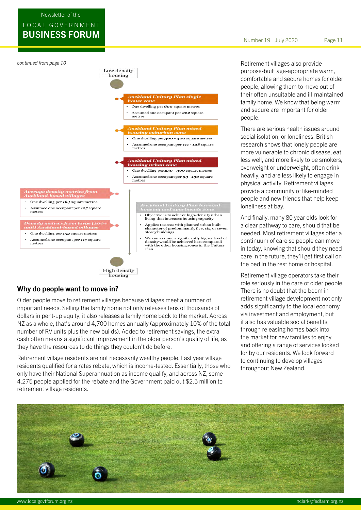### BUSINESS FORUM LOCAL GOVERNMENT



### Why do people want to move in? **Economic contribution**

Older people move to retirement villages because villages meet a number of entirement villa officer people move to retirement villages because villages meet a namber of the value of adds significant in 2017, and the family home not only releases tens of thousands of adds significant in 2017, and the value of the dollars in pent-up equity, it also releases a family home back to the market. Across NZ as a whole, that's around 4,700 homes annually (approximately 10% of the total light of the significant emplo number of RV units plus the new builds). Added to retirement savings, the extra through releas cash often means a significant improvement in the older person's quality of life, as which market for they have the resources to do things they couldn't do before. The sector of the sector rand offering a re- $\alpha$ ded from department stores or the motor vehicle retailers of the motor vehicle  $\alpha$ 

Retirement village residents are not necessarily wealthy people. Last year village residents qualified for a rates rebate, which is income-tested. Essentially, those who only have their National Superannuation as income qualify, and across NZ, some 4,275 people applied for the rebate and the Government paid out \$2.5 million to retirement village residents. The staff and contributes approximately series and fittings. NZ's Business Operations Survey 2016, comparable to the number employed in real estate or etirement village resi<mark>)</mark> Employment includes:

Number 19 July 2020 Page 11

Retirement villages also provide purpose-built age-appropriate warm, comfortable and secure homes for older people, allowing them to move out of their often unsuitable and ill-maintained family home. We know that being warm and secure are important for older people.

There are serious health issues around social isolation, or loneliness. British research shows that lonely people are more vulnerable to chronic disease, eat less well, and more likely to be smokers, overweight or underweight, often drink heavily, and are less likely to engage in physical activity. Retirement villages provide a community of like-minded people and new friends that help keep loneliness at bay.

And finally, many 80 year olds look for a clear pathway to care, should that be needed. Most retirement villages offer a continuum of care so people can move in today, knowing that should they need care in the future, they'll get first call on the bed in the rest home or hospital.

Retirement village operators take their role seriously in the care of older people. There is no doubt that the boom in retirement village development not only adds significantly to the local economy via investment and employment, but it also has valuable social benefits, through releasing homes back into the market for new families to enjoy and offering a range of services looked for by our residents. We look forward to continuing to develop villages throughout New Zealand.